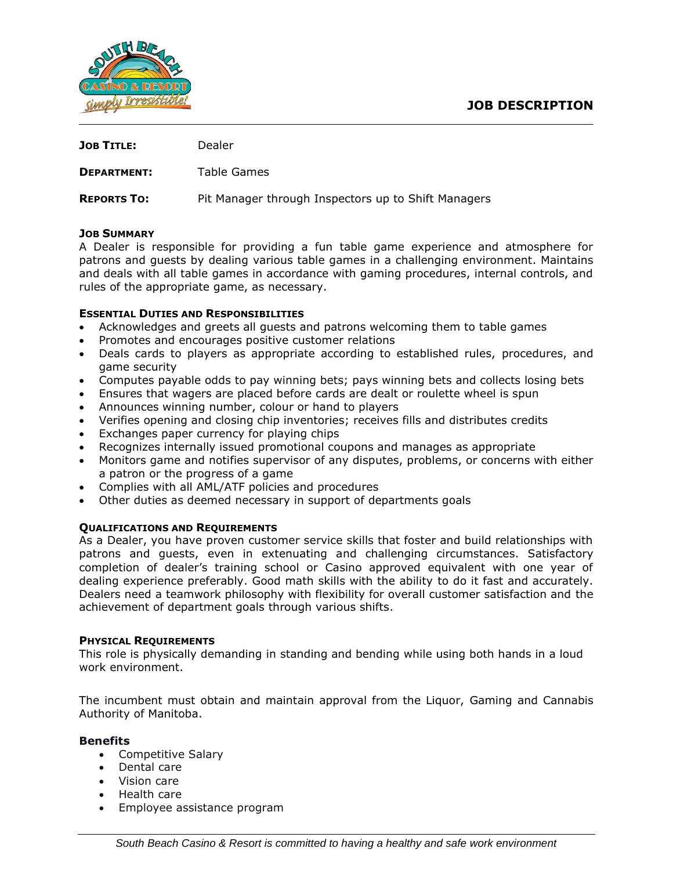

| <b>JOB TITLE:</b>  | Dealer                                              |
|--------------------|-----------------------------------------------------|
| <b>DEPARTMENT:</b> | Table Games                                         |
| <b>REPORTS TO:</b> | Pit Manager through Inspectors up to Shift Managers |

## **JOB SUMMARY**

A Dealer is responsible for providing a fun table game experience and atmosphere for patrons and guests by dealing various table games in a challenging environment. Maintains and deals with all table games in accordance with gaming procedures, internal controls, and rules of the appropriate game, as necessary.

### **ESSENTIAL DUTIES AND RESPONSIBILITIES**

- Acknowledges and greets all guests and patrons welcoming them to table games
- Promotes and encourages positive customer relations
- Deals cards to players as appropriate according to established rules, procedures, and game security
- Computes payable odds to pay winning bets; pays winning bets and collects losing bets
- Ensures that wagers are placed before cards are dealt or roulette wheel is spun
- Announces winning number, colour or hand to players
- Verifies opening and closing chip inventories; receives fills and distributes credits
- Exchanges paper currency for playing chips
- Recognizes internally issued promotional coupons and manages as appropriate
- Monitors game and notifies supervisor of any disputes, problems, or concerns with either a patron or the progress of a game
- Complies with all AML/ATF policies and procedures
- Other duties as deemed necessary in support of departments goals

#### **QUALIFICATIONS AND REQUIREMENTS**

As a Dealer, you have proven customer service skills that foster and build relationships with patrons and guests, even in extenuating and challenging circumstances. Satisfactory completion of dealer's training school or Casino approved equivalent with one year of dealing experience preferably. Good math skills with the ability to do it fast and accurately. Dealers need a teamwork philosophy with flexibility for overall customer satisfaction and the achievement of department goals through various shifts.

#### **PHYSICAL REQUIREMENTS**

This role is physically demanding in standing and bending while using both hands in a loud work environment.

The incumbent must obtain and maintain approval from the Liquor, Gaming and Cannabis Authority of Manitoba.

#### **Benefits**

- Competitive Salary
- Dental care
- Vision care
- Health care
- Employee assistance program